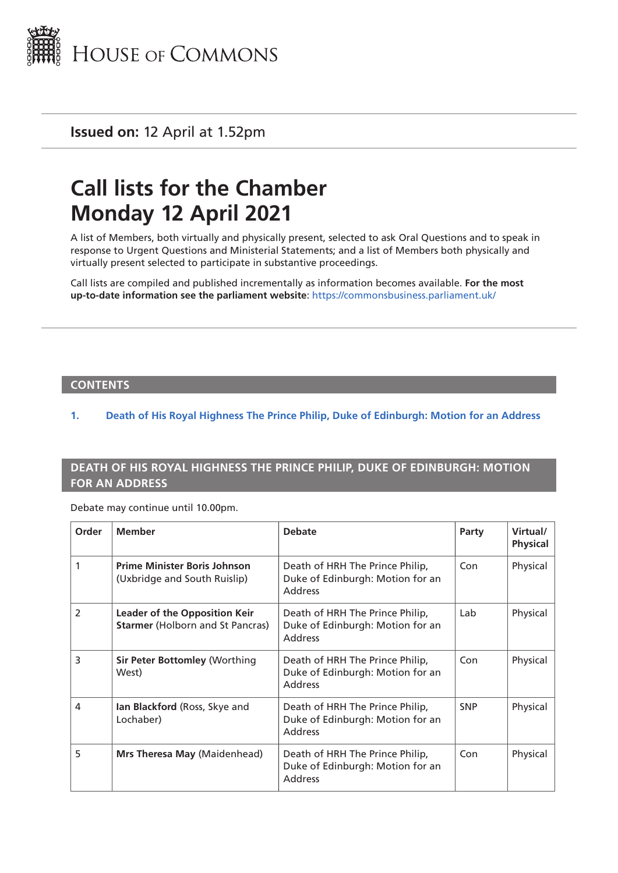

**Issued on:** 12 April at 1.52pm

## **Call lists for the Chamber Monday 12 April 2021**

A list of Members, both virtually and physically present, selected to ask Oral Questions and to speak in response to Urgent Questions and Ministerial Statements; and a list of Members both physically and virtually present selected to participate in substantive proceedings.

Call lists are compiled and published incrementally as information becomes available. **For the most up-to-date information see the parliament website**: <https://commonsbusiness.parliament.uk/>

## **CONTENTS**

## **1. Death of His Royal Highness The Prince Philip, Duke of Edinburgh: Motion for an Address**

## **DEATH OF HIS ROYAL HIGHNESS THE PRINCE PHILIP, DUKE OF EDINBURGH: MOTION FOR AN ADDRESS**

Debate may continue until 10.00pm.

| Order          | <b>Member</b>                                                                   | <b>Debate</b>                                                                         | Party      | Virtual/<br><b>Physical</b> |
|----------------|---------------------------------------------------------------------------------|---------------------------------------------------------------------------------------|------------|-----------------------------|
| 1              | <b>Prime Minister Boris Johnson</b><br>(Uxbridge and South Ruislip)             | Death of HRH The Prince Philip,<br>Duke of Edinburgh: Motion for an<br><b>Address</b> | Con        | Physical                    |
| $\overline{2}$ | <b>Leader of the Opposition Keir</b><br><b>Starmer (Holborn and St Pancras)</b> | Death of HRH The Prince Philip,<br>Duke of Edinburgh: Motion for an<br><b>Address</b> | Lab        | Physical                    |
| 3              | <b>Sir Peter Bottomley (Worthing</b><br>West)                                   | Death of HRH The Prince Philip,<br>Duke of Edinburgh: Motion for an<br><b>Address</b> | Con        | Physical                    |
| 4              | Ian Blackford (Ross, Skye and<br>Lochaber)                                      | Death of HRH The Prince Philip,<br>Duke of Edinburgh: Motion for an<br><b>Address</b> | <b>SNP</b> | Physical                    |
| 5              | Mrs Theresa May (Maidenhead)                                                    | Death of HRH The Prince Philip,<br>Duke of Edinburgh: Motion for an<br><b>Address</b> | Con        | Physical                    |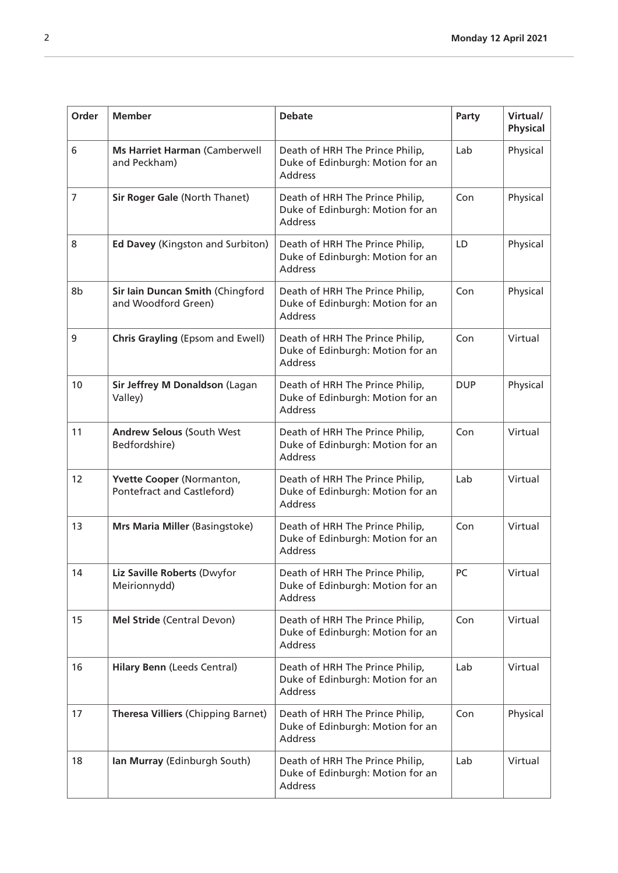| Order           | <b>Member</b>                                           | <b>Debate</b>                                                                         | Party      | Virtual/<br><b>Physical</b> |
|-----------------|---------------------------------------------------------|---------------------------------------------------------------------------------------|------------|-----------------------------|
| 6               | <b>Ms Harriet Harman (Camberwell</b><br>and Peckham)    | Death of HRH The Prince Philip,<br>Duke of Edinburgh: Motion for an<br>Address        | Lab        | Physical                    |
| 7               | Sir Roger Gale (North Thanet)                           | Death of HRH The Prince Philip,<br>Duke of Edinburgh: Motion for an<br><b>Address</b> | Con        | Physical                    |
| 8               | Ed Davey (Kingston and Surbiton)                        | Death of HRH The Prince Philip,<br>Duke of Edinburgh: Motion for an<br><b>Address</b> | LD         | Physical                    |
| 8b              | Sir Iain Duncan Smith (Chingford<br>and Woodford Green) | Death of HRH The Prince Philip,<br>Duke of Edinburgh: Motion for an<br><b>Address</b> | Con        | Physical                    |
| 9               | <b>Chris Grayling (Epsom and Ewell)</b>                 | Death of HRH The Prince Philip,<br>Duke of Edinburgh: Motion for an<br><b>Address</b> | Con        | Virtual                     |
| 10              | Sir Jeffrey M Donaldson (Lagan<br>Valley)               | Death of HRH The Prince Philip,<br>Duke of Edinburgh: Motion for an<br><b>Address</b> | <b>DUP</b> | Physical                    |
| 11              | <b>Andrew Selous (South West</b><br>Bedfordshire)       | Death of HRH The Prince Philip,<br>Duke of Edinburgh: Motion for an<br><b>Address</b> | Con        | Virtual                     |
| 12 <sup>2</sup> | Yvette Cooper (Normanton,<br>Pontefract and Castleford) | Death of HRH The Prince Philip,<br>Duke of Edinburgh: Motion for an<br><b>Address</b> | Lab        | Virtual                     |
| 13              | Mrs Maria Miller (Basingstoke)                          | Death of HRH The Prince Philip,<br>Duke of Edinburgh: Motion for an<br><b>Address</b> | Con        | Virtual                     |
| 14              | Liz Saville Roberts (Dwyfor<br>Meirionnydd)             | Death of HRH The Prince Philip,<br>Duke of Edinburgh: Motion for an<br><b>Address</b> | PC         | Virtual                     |
| 15              | Mel Stride (Central Devon)                              | Death of HRH The Prince Philip,<br>Duke of Edinburgh: Motion for an<br><b>Address</b> | Con        | Virtual                     |
| 16              | <b>Hilary Benn (Leeds Central)</b>                      | Death of HRH The Prince Philip,<br>Duke of Edinburgh: Motion for an<br><b>Address</b> | Lab        | Virtual                     |
| 17              | Theresa Villiers (Chipping Barnet)                      | Death of HRH The Prince Philip,<br>Duke of Edinburgh: Motion for an<br><b>Address</b> | Con        | Physical                    |
| 18              | Ian Murray (Edinburgh South)                            | Death of HRH The Prince Philip,<br>Duke of Edinburgh: Motion for an<br><b>Address</b> | Lab        | Virtual                     |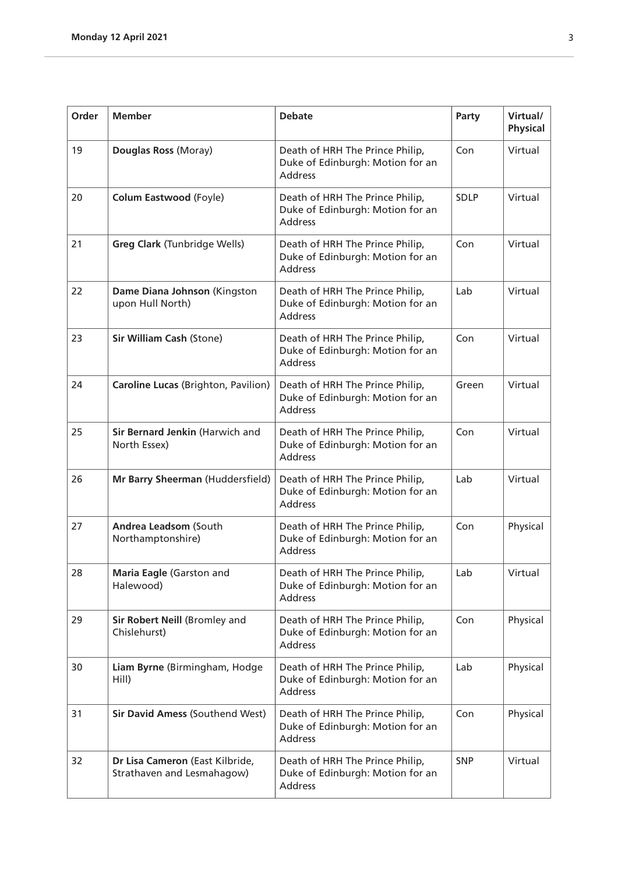| Order | <b>Member</b>                                                 | <b>Debate</b>                                                                         | Party       | Virtual/<br><b>Physical</b> |
|-------|---------------------------------------------------------------|---------------------------------------------------------------------------------------|-------------|-----------------------------|
| 19    | Douglas Ross (Moray)                                          | Death of HRH The Prince Philip,<br>Duke of Edinburgh: Motion for an<br><b>Address</b> | Con         | Virtual                     |
| 20    | <b>Colum Eastwood (Foyle)</b>                                 | Death of HRH The Prince Philip,<br>Duke of Edinburgh: Motion for an<br><b>Address</b> | <b>SDLP</b> | Virtual                     |
| 21    | <b>Greg Clark (Tunbridge Wells)</b>                           | Death of HRH The Prince Philip,<br>Duke of Edinburgh: Motion for an<br><b>Address</b> | Con         | Virtual                     |
| 22    | Dame Diana Johnson (Kingston<br>upon Hull North)              | Death of HRH The Prince Philip,<br>Duke of Edinburgh: Motion for an<br>Address        | Lab         | Virtual                     |
| 23    | <b>Sir William Cash (Stone)</b>                               | Death of HRH The Prince Philip,<br>Duke of Edinburgh: Motion for an<br><b>Address</b> | Con         | Virtual                     |
| 24    | Caroline Lucas (Brighton, Pavilion)                           | Death of HRH The Prince Philip,<br>Duke of Edinburgh: Motion for an<br><b>Address</b> | Green       | Virtual                     |
| 25    | Sir Bernard Jenkin (Harwich and<br>North Essex)               | Death of HRH The Prince Philip,<br>Duke of Edinburgh: Motion for an<br><b>Address</b> | Con         | Virtual                     |
| 26    | Mr Barry Sheerman (Huddersfield)                              | Death of HRH The Prince Philip,<br>Duke of Edinburgh: Motion for an<br><b>Address</b> | Lab         | Virtual                     |
| 27    | Andrea Leadsom (South<br>Northamptonshire)                    | Death of HRH The Prince Philip,<br>Duke of Edinburgh: Motion for an<br><b>Address</b> | Con         | Physical                    |
| 28    | Maria Eagle (Garston and<br>Halewood)                         | Death of HRH The Prince Philip,<br>Duke of Edinburgh: Motion for an<br><b>Address</b> | Lab         | Virtual                     |
| 29    | Sir Robert Neill (Bromley and<br>Chislehurst)                 | Death of HRH The Prince Philip,<br>Duke of Edinburgh: Motion for an<br><b>Address</b> | Con         | Physical                    |
| 30    | Liam Byrne (Birmingham, Hodge<br>Hill)                        | Death of HRH The Prince Philip,<br>Duke of Edinburgh: Motion for an<br><b>Address</b> | Lab         | Physical                    |
| 31    | <b>Sir David Amess (Southend West)</b>                        | Death of HRH The Prince Philip,<br>Duke of Edinburgh: Motion for an<br><b>Address</b> | Con         | Physical                    |
| 32    | Dr Lisa Cameron (East Kilbride,<br>Strathaven and Lesmahagow) | Death of HRH The Prince Philip,<br>Duke of Edinburgh: Motion for an<br><b>Address</b> | <b>SNP</b>  | Virtual                     |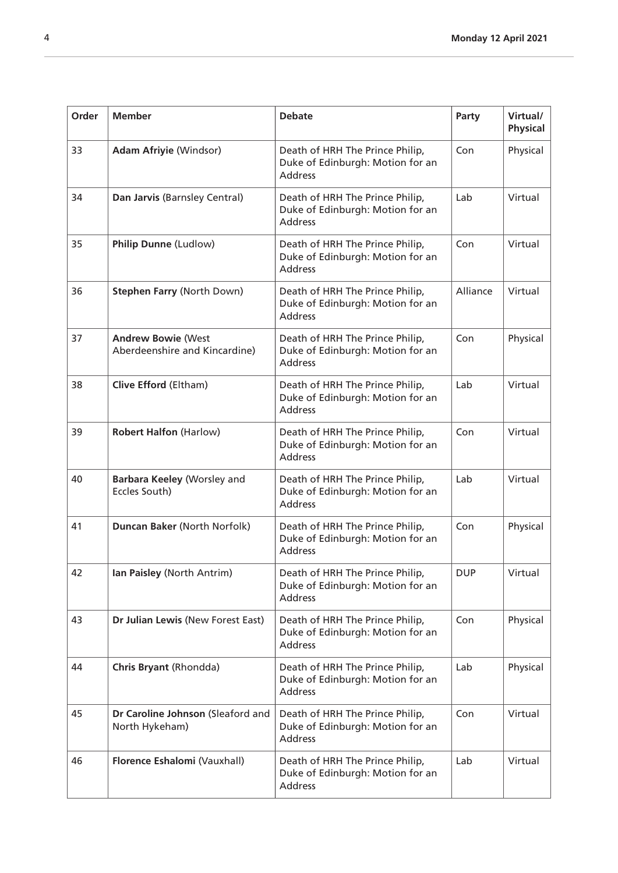| Order | <b>Member</b>                                              | <b>Debate</b>                                                                         | Party      | Virtual/<br><b>Physical</b> |
|-------|------------------------------------------------------------|---------------------------------------------------------------------------------------|------------|-----------------------------|
| 33    | <b>Adam Afriyie (Windsor)</b>                              | Death of HRH The Prince Philip,<br>Duke of Edinburgh: Motion for an<br><b>Address</b> | Con        | Physical                    |
| 34    | Dan Jarvis (Barnsley Central)                              | Death of HRH The Prince Philip,<br>Duke of Edinburgh: Motion for an<br><b>Address</b> | Lab        | Virtual                     |
| 35    | Philip Dunne (Ludlow)                                      | Death of HRH The Prince Philip,<br>Duke of Edinburgh: Motion for an<br><b>Address</b> | Con        | Virtual                     |
| 36    | <b>Stephen Farry (North Down)</b>                          | Death of HRH The Prince Philip,<br>Duke of Edinburgh: Motion for an<br><b>Address</b> | Alliance   | Virtual                     |
| 37    | <b>Andrew Bowie (West</b><br>Aberdeenshire and Kincardine) | Death of HRH The Prince Philip,<br>Duke of Edinburgh: Motion for an<br><b>Address</b> | Con        | Physical                    |
| 38    | Clive Efford (Eltham)                                      | Death of HRH The Prince Philip,<br>Duke of Edinburgh: Motion for an<br><b>Address</b> | Lab        | Virtual                     |
| 39    | <b>Robert Halfon (Harlow)</b>                              | Death of HRH The Prince Philip,<br>Duke of Edinburgh: Motion for an<br><b>Address</b> | Con        | Virtual                     |
| 40    | Barbara Keeley (Worsley and<br>Eccles South)               | Death of HRH The Prince Philip,<br>Duke of Edinburgh: Motion for an<br><b>Address</b> | Lab        | Virtual                     |
| 41    | Duncan Baker (North Norfolk)                               | Death of HRH The Prince Philip,<br>Duke of Edinburgh: Motion for an<br><b>Address</b> | Con        | Physical                    |
| 42    | Ian Paisley (North Antrim)                                 | Death of HRH The Prince Philip,<br>Duke of Edinburgh: Motion for an<br><b>Address</b> | <b>DUP</b> | Virtual                     |
| 43    | Dr Julian Lewis (New Forest East)                          | Death of HRH The Prince Philip,<br>Duke of Edinburgh: Motion for an<br><b>Address</b> | Con        | Physical                    |
| 44    | Chris Bryant (Rhondda)                                     | Death of HRH The Prince Philip,<br>Duke of Edinburgh: Motion for an<br><b>Address</b> | Lab        | Physical                    |
| 45    | Dr Caroline Johnson (Sleaford and<br>North Hykeham)        | Death of HRH The Prince Philip,<br>Duke of Edinburgh: Motion for an<br><b>Address</b> | Con        | Virtual                     |
| 46    | Florence Eshalomi (Vauxhall)                               | Death of HRH The Prince Philip,<br>Duke of Edinburgh: Motion for an<br><b>Address</b> | Lab        | Virtual                     |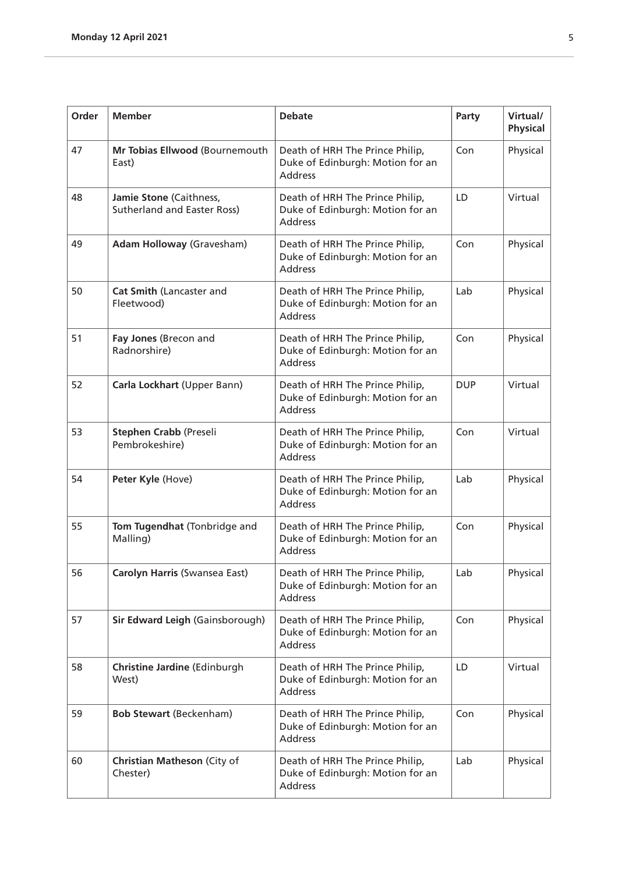| Order | <b>Member</b>                                                 | <b>Debate</b>                                                                         | Party      | Virtual/<br><b>Physical</b> |
|-------|---------------------------------------------------------------|---------------------------------------------------------------------------------------|------------|-----------------------------|
| 47    | Mr Tobias Ellwood (Bournemouth<br>East)                       | Death of HRH The Prince Philip,<br>Duke of Edinburgh: Motion for an<br><b>Address</b> | Con        | Physical                    |
| 48    | Jamie Stone (Caithness,<br><b>Sutherland and Easter Ross)</b> | Death of HRH The Prince Philip,<br>Duke of Edinburgh: Motion for an<br><b>Address</b> | LD         | Virtual                     |
| 49    | <b>Adam Holloway (Gravesham)</b>                              | Death of HRH The Prince Philip,<br>Duke of Edinburgh: Motion for an<br><b>Address</b> | Con        | Physical                    |
| 50    | Cat Smith (Lancaster and<br>Fleetwood)                        | Death of HRH The Prince Philip,<br>Duke of Edinburgh: Motion for an<br><b>Address</b> | Lab        | Physical                    |
| 51    | Fay Jones (Brecon and<br>Radnorshire)                         | Death of HRH The Prince Philip,<br>Duke of Edinburgh: Motion for an<br><b>Address</b> | Con        | Physical                    |
| 52    | Carla Lockhart (Upper Bann)                                   | Death of HRH The Prince Philip,<br>Duke of Edinburgh: Motion for an<br><b>Address</b> | <b>DUP</b> | Virtual                     |
| 53    | <b>Stephen Crabb (Preseli</b><br>Pembrokeshire)               | Death of HRH The Prince Philip,<br>Duke of Edinburgh: Motion for an<br><b>Address</b> | Con        | Virtual                     |
| 54    | Peter Kyle (Hove)                                             | Death of HRH The Prince Philip,<br>Duke of Edinburgh: Motion for an<br><b>Address</b> | Lab        | Physical                    |
| 55    | Tom Tugendhat (Tonbridge and<br>Malling)                      | Death of HRH The Prince Philip,<br>Duke of Edinburgh: Motion for an<br><b>Address</b> | Con        | Physical                    |
| 56    | Carolyn Harris (Swansea East)                                 | Death of HRH The Prince Philip,<br>Duke of Edinburgh: Motion for an<br><b>Address</b> | Lab        | Physical                    |
| 57    | Sir Edward Leigh (Gainsborough)                               | Death of HRH The Prince Philip,<br>Duke of Edinburgh: Motion for an<br><b>Address</b> | Con        | Physical                    |
| 58    | <b>Christine Jardine (Edinburgh</b><br>West)                  | Death of HRH The Prince Philip,<br>Duke of Edinburgh: Motion for an<br><b>Address</b> | LD         | Virtual                     |
| 59    | <b>Bob Stewart (Beckenham)</b>                                | Death of HRH The Prince Philip,<br>Duke of Edinburgh: Motion for an<br><b>Address</b> | Con        | Physical                    |
| 60    | <b>Christian Matheson (City of</b><br>Chester)                | Death of HRH The Prince Philip,<br>Duke of Edinburgh: Motion for an<br><b>Address</b> | Lab        | Physical                    |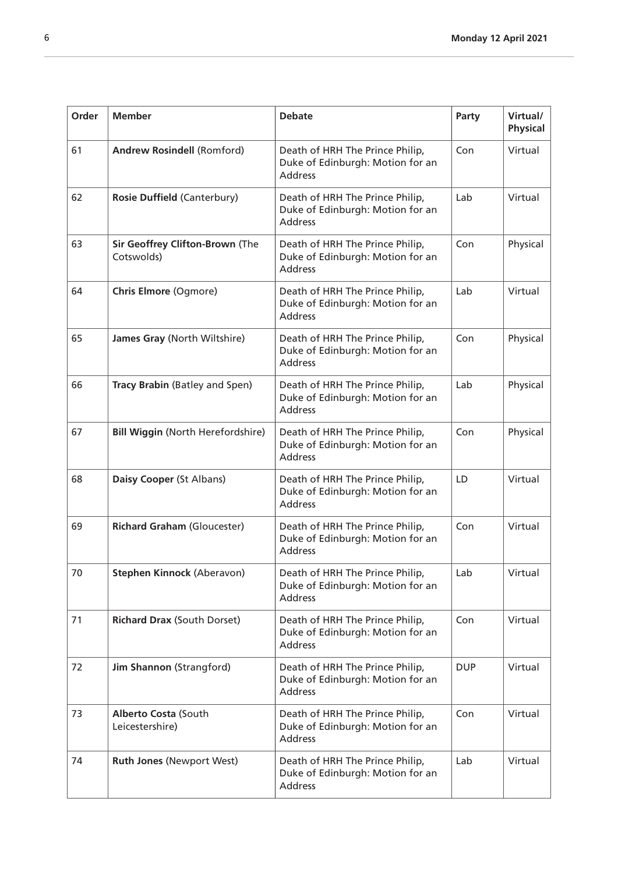| Order | <b>Member</b>                                 | <b>Debate</b>                                                                         | Party      | Virtual/<br><b>Physical</b> |
|-------|-----------------------------------------------|---------------------------------------------------------------------------------------|------------|-----------------------------|
| 61    | <b>Andrew Rosindell (Romford)</b>             | Death of HRH The Prince Philip,<br>Duke of Edinburgh: Motion for an<br><b>Address</b> | Con        | Virtual                     |
| 62    | <b>Rosie Duffield (Canterbury)</b>            | Death of HRH The Prince Philip,<br>Duke of Edinburgh: Motion for an<br><b>Address</b> | Lab        | Virtual                     |
| 63    | Sir Geoffrey Clifton-Brown (The<br>Cotswolds) | Death of HRH The Prince Philip,<br>Duke of Edinburgh: Motion for an<br><b>Address</b> | Con        | Physical                    |
| 64    | <b>Chris Elmore (Ogmore)</b>                  | Death of HRH The Prince Philip,<br>Duke of Edinburgh: Motion for an<br>Address        | Lab        | Virtual                     |
| 65    | James Gray (North Wiltshire)                  | Death of HRH The Prince Philip,<br>Duke of Edinburgh: Motion for an<br><b>Address</b> | Con        | Physical                    |
| 66    | Tracy Brabin (Batley and Spen)                | Death of HRH The Prince Philip,<br>Duke of Edinburgh: Motion for an<br><b>Address</b> | Lab        | Physical                    |
| 67    | <b>Bill Wiggin (North Herefordshire)</b>      | Death of HRH The Prince Philip,<br>Duke of Edinburgh: Motion for an<br><b>Address</b> | Con        | Physical                    |
| 68    | Daisy Cooper (St Albans)                      | Death of HRH The Prince Philip,<br>Duke of Edinburgh: Motion for an<br><b>Address</b> | LD         | Virtual                     |
| 69    | <b>Richard Graham (Gloucester)</b>            | Death of HRH The Prince Philip,<br>Duke of Edinburgh: Motion for an<br>Address        | Con        | Virtual                     |
| 70    | Stephen Kinnock (Aberavon)                    | Death of HRH The Prince Philip,<br>Duke of Edinburgh: Motion for an<br>Address        | Lab        | Virtual                     |
| 71    | <b>Richard Drax (South Dorset)</b>            | Death of HRH The Prince Philip,<br>Duke of Edinburgh: Motion for an<br><b>Address</b> | Con        | Virtual                     |
| 72    | Jim Shannon (Strangford)                      | Death of HRH The Prince Philip,<br>Duke of Edinburgh: Motion for an<br><b>Address</b> | <b>DUP</b> | Virtual                     |
| 73    | Alberto Costa (South<br>Leicestershire)       | Death of HRH The Prince Philip,<br>Duke of Edinburgh: Motion for an<br><b>Address</b> | Con        | Virtual                     |
| 74    | <b>Ruth Jones (Newport West)</b>              | Death of HRH The Prince Philip,<br>Duke of Edinburgh: Motion for an<br><b>Address</b> | Lab        | Virtual                     |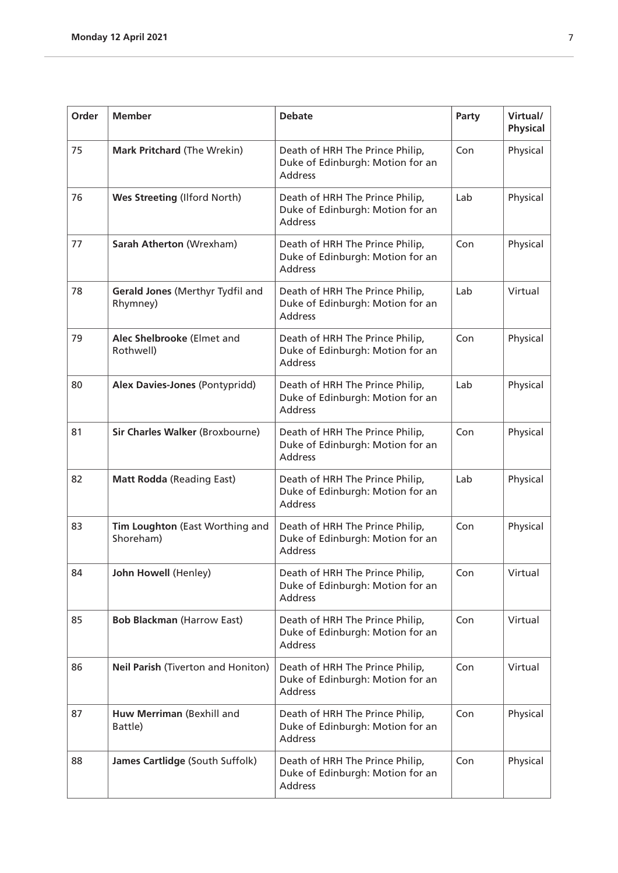| Order | <b>Member</b>                                | <b>Debate</b>                                                                         | Party | Virtual/<br><b>Physical</b> |
|-------|----------------------------------------------|---------------------------------------------------------------------------------------|-------|-----------------------------|
| 75    | <b>Mark Pritchard (The Wrekin)</b>           | Death of HRH The Prince Philip,<br>Duke of Edinburgh: Motion for an<br><b>Address</b> | Con   | Physical                    |
| 76    | Wes Streeting (Ilford North)                 | Death of HRH The Prince Philip,<br>Duke of Edinburgh: Motion for an<br><b>Address</b> | Lab   | Physical                    |
| 77    | Sarah Atherton (Wrexham)                     | Death of HRH The Prince Philip,<br>Duke of Edinburgh: Motion for an<br><b>Address</b> | Con   | Physical                    |
| 78    | Gerald Jones (Merthyr Tydfil and<br>Rhymney) | Death of HRH The Prince Philip,<br>Duke of Edinburgh: Motion for an<br><b>Address</b> | Lab   | Virtual                     |
| 79    | Alec Shelbrooke (Elmet and<br>Rothwell)      | Death of HRH The Prince Philip,<br>Duke of Edinburgh: Motion for an<br><b>Address</b> | Con   | Physical                    |
| 80    | Alex Davies-Jones (Pontypridd)               | Death of HRH The Prince Philip,<br>Duke of Edinburgh: Motion for an<br><b>Address</b> | Lab   | Physical                    |
| 81    | Sir Charles Walker (Broxbourne)              | Death of HRH The Prince Philip,<br>Duke of Edinburgh: Motion for an<br><b>Address</b> | Con   | Physical                    |
| 82    | <b>Matt Rodda (Reading East)</b>             | Death of HRH The Prince Philip,<br>Duke of Edinburgh: Motion for an<br><b>Address</b> | Lab   | Physical                    |
| 83    | Tim Loughton (East Worthing and<br>Shoreham) | Death of HRH The Prince Philip,<br>Duke of Edinburgh: Motion for an<br><b>Address</b> | Con   | Physical                    |
| 84    | John Howell (Henley)                         | Death of HRH The Prince Philip,<br>Duke of Edinburgh: Motion for an<br><b>Address</b> | Con   | Virtual                     |
| 85    | <b>Bob Blackman (Harrow East)</b>            | Death of HRH The Prince Philip,<br>Duke of Edinburgh: Motion for an<br><b>Address</b> | Con   | Virtual                     |
| 86    | Neil Parish (Tiverton and Honiton)           | Death of HRH The Prince Philip,<br>Duke of Edinburgh: Motion for an<br><b>Address</b> | Con   | Virtual                     |
| 87    | Huw Merriman (Bexhill and<br>Battle)         | Death of HRH The Prince Philip,<br>Duke of Edinburgh: Motion for an<br><b>Address</b> | Con   | Physical                    |
| 88    | James Cartlidge (South Suffolk)              | Death of HRH The Prince Philip,<br>Duke of Edinburgh: Motion for an<br>Address        | Con   | Physical                    |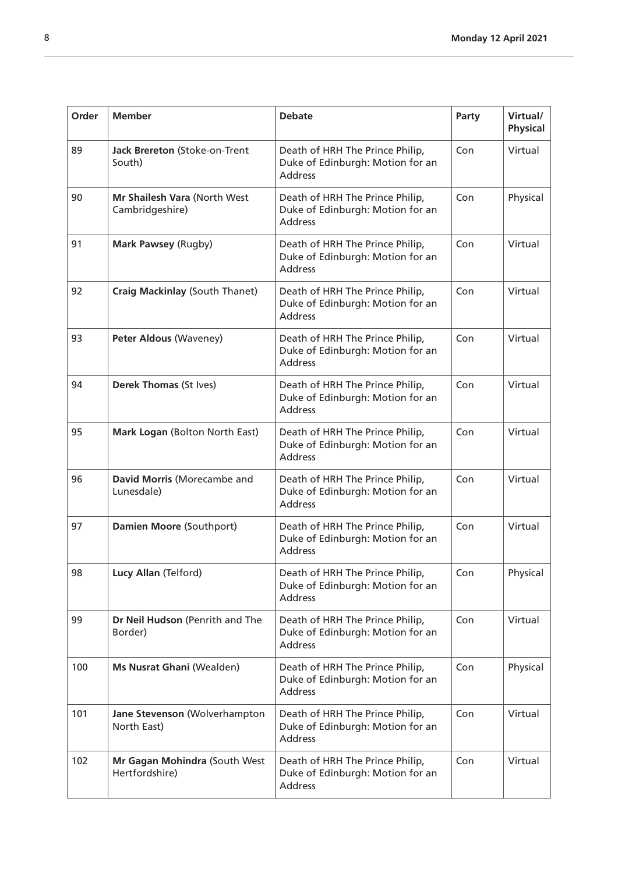| Order | <b>Member</b>                                   | <b>Debate</b>                                                                         | Party | Virtual/<br><b>Physical</b> |
|-------|-------------------------------------------------|---------------------------------------------------------------------------------------|-------|-----------------------------|
| 89    | Jack Brereton (Stoke-on-Trent<br>South)         | Death of HRH The Prince Philip,<br>Duke of Edinburgh: Motion for an<br><b>Address</b> | Con   | Virtual                     |
| 90    | Mr Shailesh Vara (North West<br>Cambridgeshire) | Death of HRH The Prince Philip,<br>Duke of Edinburgh: Motion for an<br><b>Address</b> | Con   | Physical                    |
| 91    | Mark Pawsey (Rugby)                             | Death of HRH The Prince Philip,<br>Duke of Edinburgh: Motion for an<br><b>Address</b> | Con   | Virtual                     |
| 92    | <b>Craig Mackinlay (South Thanet)</b>           | Death of HRH The Prince Philip,<br>Duke of Edinburgh: Motion for an<br><b>Address</b> | Con   | Virtual                     |
| 93    | <b>Peter Aldous (Waveney)</b>                   | Death of HRH The Prince Philip,<br>Duke of Edinburgh: Motion for an<br><b>Address</b> | Con   | Virtual                     |
| 94    | Derek Thomas (St Ives)                          | Death of HRH The Prince Philip,<br>Duke of Edinburgh: Motion for an<br><b>Address</b> | Con   | Virtual                     |
| 95    | Mark Logan (Bolton North East)                  | Death of HRH The Prince Philip,<br>Duke of Edinburgh: Motion for an<br><b>Address</b> | Con   | Virtual                     |
| 96    | David Morris (Morecambe and<br>Lunesdale)       | Death of HRH The Prince Philip,<br>Duke of Edinburgh: Motion for an<br><b>Address</b> | Con   | Virtual                     |
| 97    | Damien Moore (Southport)                        | Death of HRH The Prince Philip,<br>Duke of Edinburgh: Motion for an<br><b>Address</b> | Con   | Virtual                     |
| 98    | Lucy Allan (Telford)                            | Death of HRH The Prince Philip,<br>Duke of Edinburgh: Motion for an<br><b>Address</b> | Con   | Physical                    |
| 99    | Dr Neil Hudson (Penrith and The<br>Border)      | Death of HRH The Prince Philip,<br>Duke of Edinburgh: Motion for an<br><b>Address</b> | Con   | Virtual                     |
| 100   | Ms Nusrat Ghani (Wealden)                       | Death of HRH The Prince Philip,<br>Duke of Edinburgh: Motion for an<br><b>Address</b> | Con   | Physical                    |
| 101   | Jane Stevenson (Wolverhampton<br>North East)    | Death of HRH The Prince Philip,<br>Duke of Edinburgh: Motion for an<br><b>Address</b> | Con   | Virtual                     |
| 102   | Mr Gagan Mohindra (South West<br>Hertfordshire) | Death of HRH The Prince Philip,<br>Duke of Edinburgh: Motion for an<br><b>Address</b> | Con   | Virtual                     |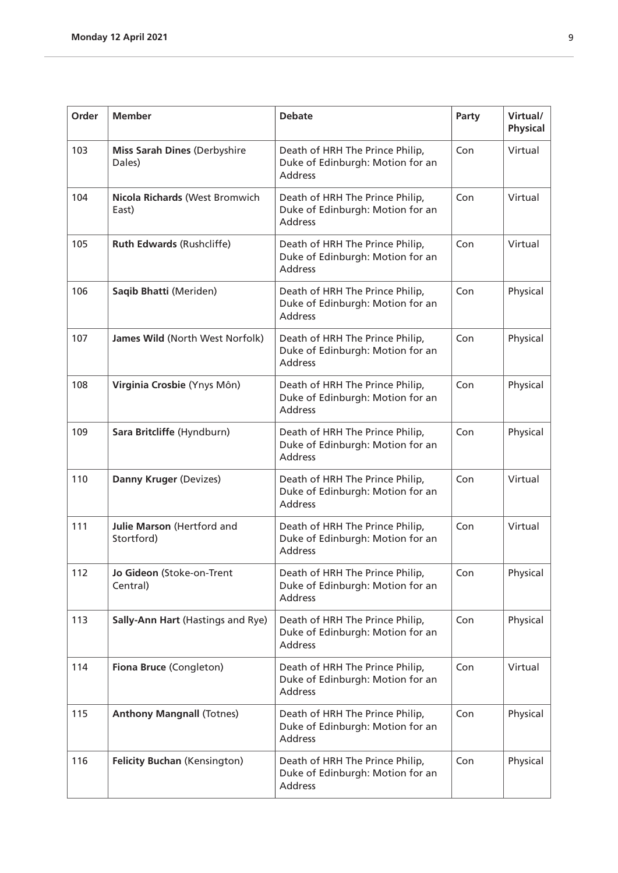| Order | <b>Member</b>                                 | <b>Debate</b>                                                                         | Party | Virtual/<br><b>Physical</b> |
|-------|-----------------------------------------------|---------------------------------------------------------------------------------------|-------|-----------------------------|
| 103   | <b>Miss Sarah Dines (Derbyshire</b><br>Dales) | Death of HRH The Prince Philip,<br>Duke of Edinburgh: Motion for an<br><b>Address</b> | Con   | Virtual                     |
| 104   | Nicola Richards (West Bromwich<br>East)       | Death of HRH The Prince Philip,<br>Duke of Edinburgh: Motion for an<br><b>Address</b> | Con   | Virtual                     |
| 105   | <b>Ruth Edwards (Rushcliffe)</b>              | Death of HRH The Prince Philip,<br>Duke of Edinburgh: Motion for an<br><b>Address</b> | Con   | Virtual                     |
| 106   | Saqib Bhatti (Meriden)                        | Death of HRH The Prince Philip,<br>Duke of Edinburgh: Motion for an<br><b>Address</b> | Con   | Physical                    |
| 107   | James Wild (North West Norfolk)               | Death of HRH The Prince Philip,<br>Duke of Edinburgh: Motion for an<br><b>Address</b> | Con   | Physical                    |
| 108   | Virginia Crosbie (Ynys Môn)                   | Death of HRH The Prince Philip,<br>Duke of Edinburgh: Motion for an<br><b>Address</b> | Con   | Physical                    |
| 109   | Sara Britcliffe (Hyndburn)                    | Death of HRH The Prince Philip,<br>Duke of Edinburgh: Motion for an<br><b>Address</b> | Con   | Physical                    |
| 110   | Danny Kruger (Devizes)                        | Death of HRH The Prince Philip,<br>Duke of Edinburgh: Motion for an<br><b>Address</b> | Con   | Virtual                     |
| 111   | Julie Marson (Hertford and<br>Stortford)      | Death of HRH The Prince Philip,<br>Duke of Edinburgh: Motion for an<br><b>Address</b> | Con   | Virtual                     |
| 112   | Jo Gideon (Stoke-on-Trent<br>Central)         | Death of HRH The Prince Philip,<br>Duke of Edinburgh: Motion for an<br><b>Address</b> | Con   | Physical                    |
| 113   | Sally-Ann Hart (Hastings and Rye)             | Death of HRH The Prince Philip,<br>Duke of Edinburgh: Motion for an<br>Address        | Con   | Physical                    |
| 114   | Fiona Bruce (Congleton)                       | Death of HRH The Prince Philip,<br>Duke of Edinburgh: Motion for an<br><b>Address</b> | Con   | Virtual                     |
| 115   | <b>Anthony Mangnall (Totnes)</b>              | Death of HRH The Prince Philip,<br>Duke of Edinburgh: Motion for an<br><b>Address</b> | Con   | Physical                    |
| 116   | <b>Felicity Buchan (Kensington)</b>           | Death of HRH The Prince Philip,<br>Duke of Edinburgh: Motion for an<br>Address        | Con   | Physical                    |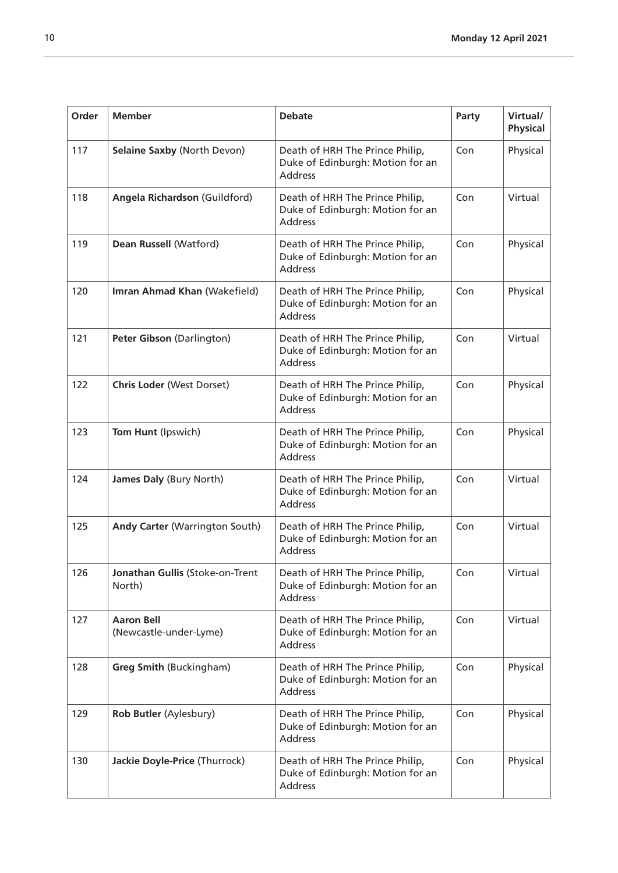| Order | <b>Member</b>                               | <b>Debate</b>                                                                         | Party | Virtual/<br><b>Physical</b> |
|-------|---------------------------------------------|---------------------------------------------------------------------------------------|-------|-----------------------------|
| 117   | <b>Selaine Saxby (North Devon)</b>          | Death of HRH The Prince Philip,<br>Duke of Edinburgh: Motion for an<br><b>Address</b> | Con   | Physical                    |
| 118   | Angela Richardson (Guildford)               | Death of HRH The Prince Philip,<br>Duke of Edinburgh: Motion for an<br><b>Address</b> | Con   | Virtual                     |
| 119   | Dean Russell (Watford)                      | Death of HRH The Prince Philip,<br>Duke of Edinburgh: Motion for an<br><b>Address</b> | Con   | Physical                    |
| 120   | Imran Ahmad Khan (Wakefield)                | Death of HRH The Prince Philip,<br>Duke of Edinburgh: Motion for an<br><b>Address</b> | Con   | Physical                    |
| 121   | Peter Gibson (Darlington)                   | Death of HRH The Prince Philip,<br>Duke of Edinburgh: Motion for an<br><b>Address</b> | Con   | Virtual                     |
| 122   | <b>Chris Loder (West Dorset)</b>            | Death of HRH The Prince Philip,<br>Duke of Edinburgh: Motion for an<br><b>Address</b> | Con   | Physical                    |
| 123   | Tom Hunt (Ipswich)                          | Death of HRH The Prince Philip,<br>Duke of Edinburgh: Motion for an<br><b>Address</b> | Con   | Physical                    |
| 124   | James Daly (Bury North)                     | Death of HRH The Prince Philip,<br>Duke of Edinburgh: Motion for an<br><b>Address</b> | Con   | Virtual                     |
| 125   | <b>Andy Carter (Warrington South)</b>       | Death of HRH The Prince Philip,<br>Duke of Edinburgh: Motion for an<br><b>Address</b> | Con   | Virtual                     |
| 126   | Jonathan Gullis (Stoke-on-Trent<br>North)   | Death of HRH The Prince Philip,<br>Duke of Edinburgh: Motion for an<br><b>Address</b> | Con   | Virtual                     |
| 127   | <b>Aaron Bell</b><br>(Newcastle-under-Lyme) | Death of HRH The Prince Philip,<br>Duke of Edinburgh: Motion for an<br><b>Address</b> | Con   | Virtual                     |
| 128   | <b>Greg Smith (Buckingham)</b>              | Death of HRH The Prince Philip,<br>Duke of Edinburgh: Motion for an<br><b>Address</b> | Con   | Physical                    |
| 129   | Rob Butler (Aylesbury)                      | Death of HRH The Prince Philip,<br>Duke of Edinburgh: Motion for an<br><b>Address</b> | Con   | Physical                    |
| 130   | Jackie Doyle-Price (Thurrock)               | Death of HRH The Prince Philip,<br>Duke of Edinburgh: Motion for an<br><b>Address</b> | Con   | Physical                    |